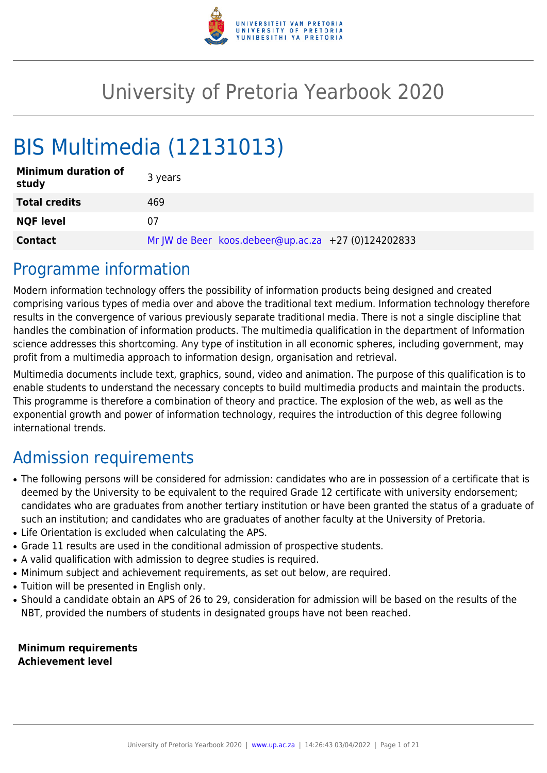

# University of Pretoria Yearbook 2020

# BIS Multimedia (12131013)

| <b>Minimum duration of</b><br>study | 3 years                                             |
|-------------------------------------|-----------------------------------------------------|
| <b>Total credits</b>                | 469                                                 |
| <b>NQF level</b>                    | 07                                                  |
| <b>Contact</b>                      | Mr JW de Beer koos.debeer@up.ac.za +27 (0)124202833 |

# Programme information

Modern information technology offers the possibility of information products being designed and created comprising various types of media over and above the traditional text medium. Information technology therefore results in the convergence of various previously separate traditional media. There is not a single discipline that handles the combination of information products. The multimedia qualification in the department of Information science addresses this shortcoming. Any type of institution in all economic spheres, including government, may profit from a multimedia approach to information design, organisation and retrieval.

Multimedia documents include text, graphics, sound, video and animation. The purpose of this qualification is to enable students to understand the necessary concepts to build multimedia products and maintain the products. This programme is therefore a combination of theory and practice. The explosion of the web, as well as the exponential growth and power of information technology, requires the introduction of this degree following international trends.

# Admission requirements

- The following persons will be considered for admission: candidates who are in possession of a certificate that is deemed by the University to be equivalent to the required Grade 12 certificate with university endorsement; candidates who are graduates from another tertiary institution or have been granted the status of a graduate of such an institution; and candidates who are graduates of another faculty at the University of Pretoria.
- Life Orientation is excluded when calculating the APS.
- Grade 11 results are used in the conditional admission of prospective students.
- A valid qualification with admission to degree studies is required.
- Minimum subject and achievement requirements, as set out below, are required.
- Tuition will be presented in English only.
- Should a candidate obtain an APS of 26 to 29, consideration for admission will be based on the results of the NBT, provided the numbers of students in designated groups have not been reached.

**Minimum requirements Achievement level**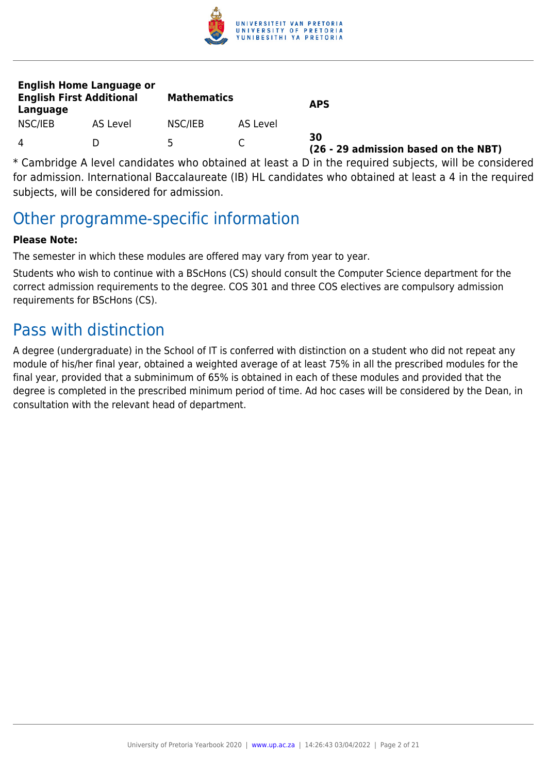

| <b>English Home Language or</b><br><b>English First Additional</b><br>Language |          | <b>Mathematics</b> |          | <b>APS</b>                                 |
|--------------------------------------------------------------------------------|----------|--------------------|----------|--------------------------------------------|
| NSC/IEB                                                                        | AS Level | NSC/IEB            | AS Level |                                            |
| 4                                                                              |          | ь                  |          | 30<br>(26 - 29 admission based on the NBT) |

\* Cambridge A level candidates who obtained at least a D in the required subjects, will be considered for admission. International Baccalaureate (IB) HL candidates who obtained at least a 4 in the required subjects, will be considered for admission.

# Other programme-specific information

### **Please Note:**

The semester in which these modules are offered may vary from year to year.

Students who wish to continue with a BScHons (CS) should consult the Computer Science department for the correct admission requirements to the degree. COS 301 and three COS electives are compulsory admission requirements for BScHons (CS).

# Pass with distinction

A degree (undergraduate) in the School of IT is conferred with distinction on a student who did not repeat any module of his/her final year, obtained a weighted average of at least 75% in all the prescribed modules for the final year, provided that a subminimum of 65% is obtained in each of these modules and provided that the degree is completed in the prescribed minimum period of time. Ad hoc cases will be considered by the Dean, in consultation with the relevant head of department.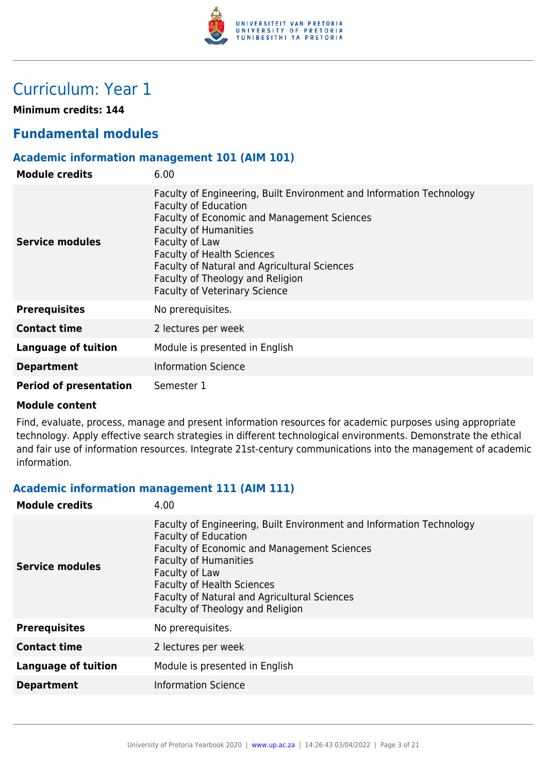

# Curriculum: Year 1

**Minimum credits: 144**

# **Fundamental modules**

#### **Academic information management 101 (AIM 101)**

| <b>Module credits</b>         | 6.00                                                                                                                                                                                                                                                                                                                                                                  |
|-------------------------------|-----------------------------------------------------------------------------------------------------------------------------------------------------------------------------------------------------------------------------------------------------------------------------------------------------------------------------------------------------------------------|
| Service modules               | Faculty of Engineering, Built Environment and Information Technology<br><b>Faculty of Education</b><br>Faculty of Economic and Management Sciences<br><b>Faculty of Humanities</b><br>Faculty of Law<br><b>Faculty of Health Sciences</b><br>Faculty of Natural and Agricultural Sciences<br>Faculty of Theology and Religion<br><b>Faculty of Veterinary Science</b> |
| <b>Prerequisites</b>          | No prerequisites.                                                                                                                                                                                                                                                                                                                                                     |
| <b>Contact time</b>           | 2 lectures per week                                                                                                                                                                                                                                                                                                                                                   |
| <b>Language of tuition</b>    | Module is presented in English                                                                                                                                                                                                                                                                                                                                        |
| <b>Department</b>             | <b>Information Science</b>                                                                                                                                                                                                                                                                                                                                            |
| <b>Period of presentation</b> | Semester 1                                                                                                                                                                                                                                                                                                                                                            |

#### **Module content**

Find, evaluate, process, manage and present information resources for academic purposes using appropriate technology. Apply effective search strategies in different technological environments. Demonstrate the ethical and fair use of information resources. Integrate 21st-century communications into the management of academic information.

#### **Academic information management 111 (AIM 111)**

| <b>Module credits</b>      | 4.00                                                                                                                                                                                                                                                                                                                                 |
|----------------------------|--------------------------------------------------------------------------------------------------------------------------------------------------------------------------------------------------------------------------------------------------------------------------------------------------------------------------------------|
| Service modules            | Faculty of Engineering, Built Environment and Information Technology<br><b>Faculty of Education</b><br><b>Faculty of Economic and Management Sciences</b><br><b>Faculty of Humanities</b><br>Faculty of Law<br><b>Faculty of Health Sciences</b><br>Faculty of Natural and Agricultural Sciences<br>Faculty of Theology and Religion |
| <b>Prerequisites</b>       | No prerequisites.                                                                                                                                                                                                                                                                                                                    |
| <b>Contact time</b>        | 2 lectures per week                                                                                                                                                                                                                                                                                                                  |
| <b>Language of tuition</b> | Module is presented in English                                                                                                                                                                                                                                                                                                       |
| <b>Department</b>          | <b>Information Science</b>                                                                                                                                                                                                                                                                                                           |
|                            |                                                                                                                                                                                                                                                                                                                                      |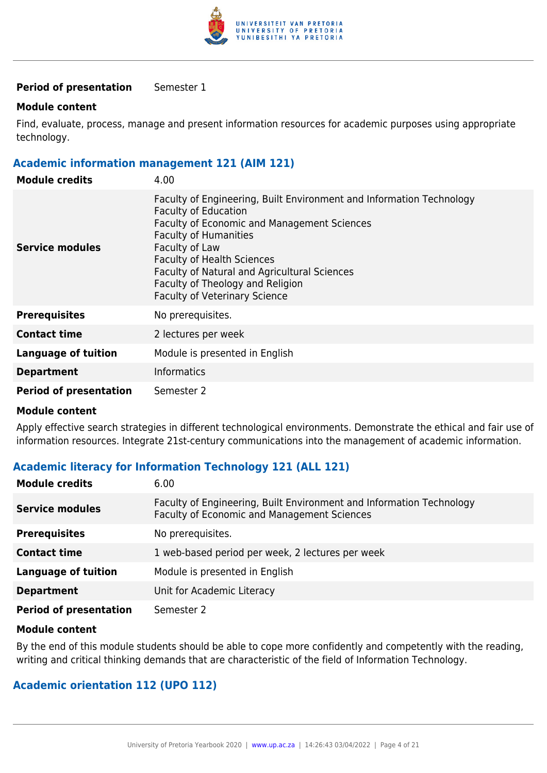

#### **Period of presentation** Semester 1

#### **Module content**

Find, evaluate, process, manage and present information resources for academic purposes using appropriate technology.

#### **Academic information management 121 (AIM 121)**

| <b>Module credits</b>         | 4.00                                                                                                                                                                                                                                                                                                                                                                                |
|-------------------------------|-------------------------------------------------------------------------------------------------------------------------------------------------------------------------------------------------------------------------------------------------------------------------------------------------------------------------------------------------------------------------------------|
| Service modules               | Faculty of Engineering, Built Environment and Information Technology<br><b>Faculty of Education</b><br><b>Faculty of Economic and Management Sciences</b><br><b>Faculty of Humanities</b><br>Faculty of Law<br><b>Faculty of Health Sciences</b><br><b>Faculty of Natural and Agricultural Sciences</b><br>Faculty of Theology and Religion<br><b>Faculty of Veterinary Science</b> |
| <b>Prerequisites</b>          | No prerequisites.                                                                                                                                                                                                                                                                                                                                                                   |
| <b>Contact time</b>           | 2 lectures per week                                                                                                                                                                                                                                                                                                                                                                 |
| <b>Language of tuition</b>    | Module is presented in English                                                                                                                                                                                                                                                                                                                                                      |
| <b>Department</b>             | <b>Informatics</b>                                                                                                                                                                                                                                                                                                                                                                  |
| <b>Period of presentation</b> | Semester 2                                                                                                                                                                                                                                                                                                                                                                          |

#### **Module content**

Apply effective search strategies in different technological environments. Demonstrate the ethical and fair use of information resources. Integrate 21st-century communications into the management of academic information.

#### **Academic literacy for Information Technology 121 (ALL 121)**

| <b>Module credits</b>         | 6.00                                                                                                                |
|-------------------------------|---------------------------------------------------------------------------------------------------------------------|
| <b>Service modules</b>        | Faculty of Engineering, Built Environment and Information Technology<br>Faculty of Economic and Management Sciences |
| <b>Prerequisites</b>          | No prerequisites.                                                                                                   |
| <b>Contact time</b>           | 1 web-based period per week, 2 lectures per week                                                                    |
| <b>Language of tuition</b>    | Module is presented in English                                                                                      |
| <b>Department</b>             | Unit for Academic Literacy                                                                                          |
| <b>Period of presentation</b> | Semester 2                                                                                                          |

#### **Module content**

By the end of this module students should be able to cope more confidently and competently with the reading, writing and critical thinking demands that are characteristic of the field of Information Technology.

#### **Academic orientation 112 (UPO 112)**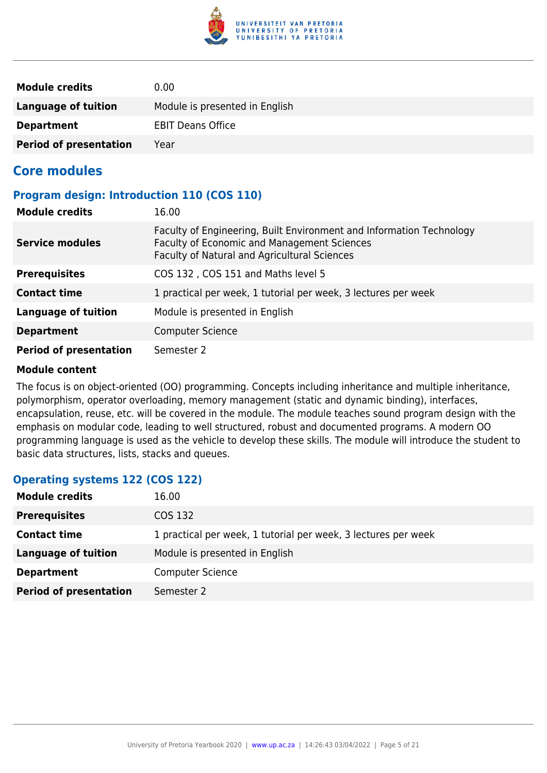

| <b>Module credits</b>         | 0.00                           |
|-------------------------------|--------------------------------|
| Language of tuition           | Module is presented in English |
| <b>Department</b>             | <b>EBIT Deans Office</b>       |
| <b>Period of presentation</b> | Year                           |

# **Core modules**

#### **Program design: Introduction 110 (COS 110)**

| <b>Module credits</b>         | 16.00                                                                                                                                                               |
|-------------------------------|---------------------------------------------------------------------------------------------------------------------------------------------------------------------|
| <b>Service modules</b>        | Faculty of Engineering, Built Environment and Information Technology<br>Faculty of Economic and Management Sciences<br>Faculty of Natural and Agricultural Sciences |
| <b>Prerequisites</b>          | COS 132, COS 151 and Maths level 5                                                                                                                                  |
| <b>Contact time</b>           | 1 practical per week, 1 tutorial per week, 3 lectures per week                                                                                                      |
| Language of tuition           | Module is presented in English                                                                                                                                      |
| <b>Department</b>             | <b>Computer Science</b>                                                                                                                                             |
| <b>Period of presentation</b> | Semester 2                                                                                                                                                          |

#### **Module content**

The focus is on object-oriented (OO) programming. Concepts including inheritance and multiple inheritance, polymorphism, operator overloading, memory management (static and dynamic binding), interfaces, encapsulation, reuse, etc. will be covered in the module. The module teaches sound program design with the emphasis on modular code, leading to well structured, robust and documented programs. A modern OO programming language is used as the vehicle to develop these skills. The module will introduce the student to basic data structures, lists, stacks and queues.

#### **Operating systems 122 (COS 122)**

| <b>Module credits</b>         | 16.00                                                          |
|-------------------------------|----------------------------------------------------------------|
| <b>Prerequisites</b>          | COS 132                                                        |
| <b>Contact time</b>           | 1 practical per week, 1 tutorial per week, 3 lectures per week |
| Language of tuition           | Module is presented in English                                 |
| <b>Department</b>             | <b>Computer Science</b>                                        |
| <b>Period of presentation</b> | Semester 2                                                     |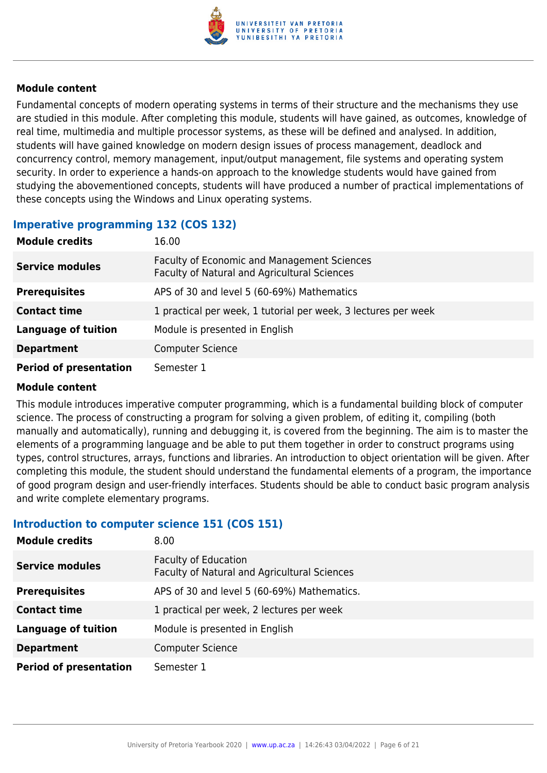

Fundamental concepts of modern operating systems in terms of their structure and the mechanisms they use are studied in this module. After completing this module, students will have gained, as outcomes, knowledge of real time, multimedia and multiple processor systems, as these will be defined and analysed. In addition, students will have gained knowledge on modern design issues of process management, deadlock and concurrency control, memory management, input/output management, file systems and operating system security. In order to experience a hands-on approach to the knowledge students would have gained from studying the abovementioned concepts, students will have produced a number of practical implementations of these concepts using the Windows and Linux operating systems.

#### **Imperative programming 132 (COS 132)**

| <b>Module credits</b>         | 16.00                                                                                       |
|-------------------------------|---------------------------------------------------------------------------------------------|
| <b>Service modules</b>        | Faculty of Economic and Management Sciences<br>Faculty of Natural and Agricultural Sciences |
| <b>Prerequisites</b>          | APS of 30 and level 5 (60-69%) Mathematics                                                  |
| <b>Contact time</b>           | 1 practical per week, 1 tutorial per week, 3 lectures per week                              |
| <b>Language of tuition</b>    | Module is presented in English                                                              |
| <b>Department</b>             | <b>Computer Science</b>                                                                     |
| <b>Period of presentation</b> | Semester 1                                                                                  |

#### **Module content**

This module introduces imperative computer programming, which is a fundamental building block of computer science. The process of constructing a program for solving a given problem, of editing it, compiling (both manually and automatically), running and debugging it, is covered from the beginning. The aim is to master the elements of a programming language and be able to put them together in order to construct programs using types, control structures, arrays, functions and libraries. An introduction to object orientation will be given. After completing this module, the student should understand the fundamental elements of a program, the importance of good program design and user-friendly interfaces. Students should be able to conduct basic program analysis and write complete elementary programs.

#### **Introduction to computer science 151 (COS 151)**

| <b>Module credits</b>         | 8.00 <sub>1</sub>                                                           |
|-------------------------------|-----------------------------------------------------------------------------|
| <b>Service modules</b>        | <b>Faculty of Education</b><br>Faculty of Natural and Agricultural Sciences |
| <b>Prerequisites</b>          | APS of 30 and level 5 (60-69%) Mathematics.                                 |
| <b>Contact time</b>           | 1 practical per week, 2 lectures per week                                   |
| <b>Language of tuition</b>    | Module is presented in English                                              |
| <b>Department</b>             | <b>Computer Science</b>                                                     |
| <b>Period of presentation</b> | Semester 1                                                                  |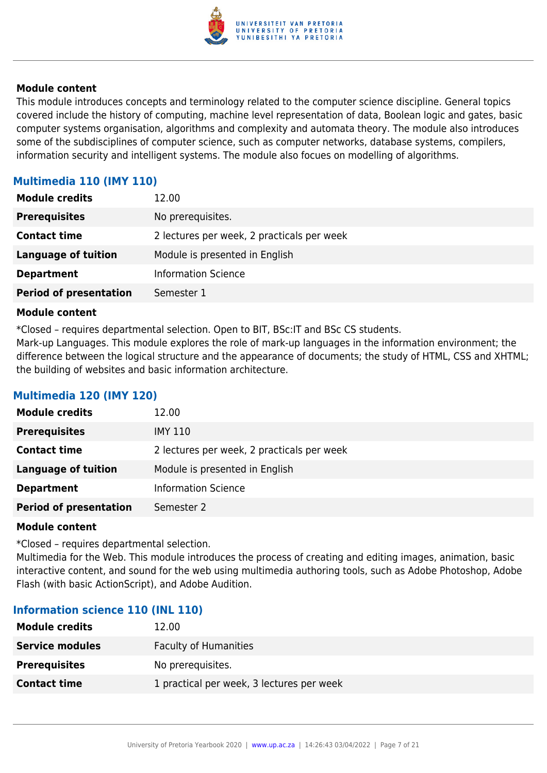

This module introduces concepts and terminology related to the computer science discipline. General topics covered include the history of computing, machine level representation of data, Boolean logic and gates, basic computer systems organisation, algorithms and complexity and automata theory. The module also introduces some of the subdisciplines of computer science, such as computer networks, database systems, compilers, information security and intelligent systems. The module also focues on modelling of algorithms.

### **Multimedia 110 (IMY 110)**

| <b>Module credits</b>         | 12.00                                      |
|-------------------------------|--------------------------------------------|
| <b>Prerequisites</b>          | No prerequisites.                          |
| <b>Contact time</b>           | 2 lectures per week, 2 practicals per week |
| <b>Language of tuition</b>    | Module is presented in English             |
| <b>Department</b>             | <b>Information Science</b>                 |
| <b>Period of presentation</b> | Semester 1                                 |

#### **Module content**

\*Closed – requires departmental selection. Open to BIT, BSc:IT and BSc CS students.

Mark-up Languages. This module explores the role of mark-up languages in the information environment; the difference between the logical structure and the appearance of documents; the study of HTML, CSS and XHTML; the building of websites and basic information architecture.

#### **Multimedia 120 (IMY 120)**

| <b>Module credits</b>         | 12.00                                      |
|-------------------------------|--------------------------------------------|
| <b>Prerequisites</b>          | IMY 110                                    |
| <b>Contact time</b>           | 2 lectures per week, 2 practicals per week |
| <b>Language of tuition</b>    | Module is presented in English             |
| <b>Department</b>             | <b>Information Science</b>                 |
| <b>Period of presentation</b> | Semester 2                                 |

#### **Module content**

\*Closed – requires departmental selection.

Multimedia for the Web. This module introduces the process of creating and editing images, animation, basic interactive content, and sound for the web using multimedia authoring tools, such as Adobe Photoshop, Adobe Flash (with basic ActionScript), and Adobe Audition.

#### **Information science 110 (INL 110)**

| <b>Module credits</b>  | 12.00                                     |
|------------------------|-------------------------------------------|
| <b>Service modules</b> | <b>Faculty of Humanities</b>              |
| <b>Prerequisites</b>   | No prerequisites.                         |
| <b>Contact time</b>    | 1 practical per week, 3 lectures per week |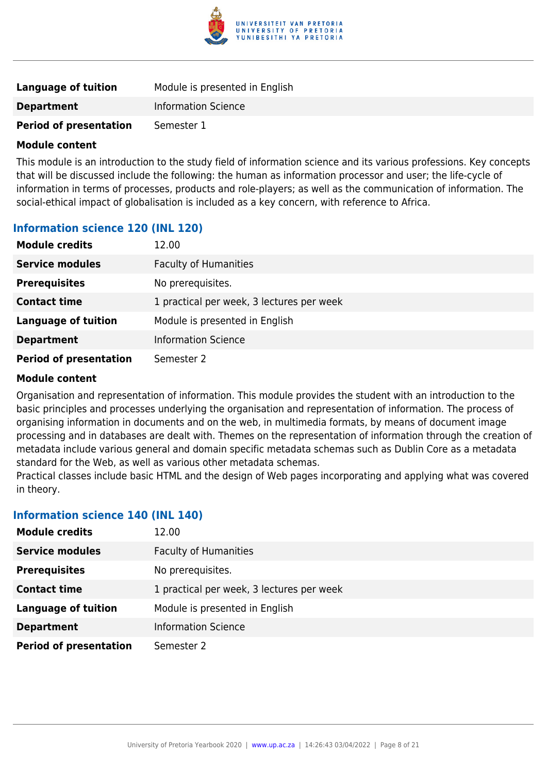

| Language of tuition           | Module is presented in English |
|-------------------------------|--------------------------------|
| <b>Department</b>             | <b>Information Science</b>     |
| <b>Period of presentation</b> | Semester 1                     |

This module is an introduction to the study field of information science and its various professions. Key concepts that will be discussed include the following: the human as information processor and user; the life-cycle of information in terms of processes, products and role-players; as well as the communication of information. The social-ethical impact of globalisation is included as a key concern, with reference to Africa.

#### **Information science 120 (INL 120)**

| <b>Module credits</b>         | 12.00                                     |
|-------------------------------|-------------------------------------------|
| <b>Service modules</b>        | <b>Faculty of Humanities</b>              |
| <b>Prerequisites</b>          | No prerequisites.                         |
| <b>Contact time</b>           | 1 practical per week, 3 lectures per week |
| <b>Language of tuition</b>    | Module is presented in English            |
| <b>Department</b>             | <b>Information Science</b>                |
| <b>Period of presentation</b> | Semester 2                                |

#### **Module content**

Organisation and representation of information. This module provides the student with an introduction to the basic principles and processes underlying the organisation and representation of information. The process of organising information in documents and on the web, in multimedia formats, by means of document image processing and in databases are dealt with. Themes on the representation of information through the creation of metadata include various general and domain specific metadata schemas such as Dublin Core as a metadata standard for the Web, as well as various other metadata schemas.

Practical classes include basic HTML and the design of Web pages incorporating and applying what was covered in theory.

#### **Information science 140 (INL 140)**

| <b>Module credits</b>         | 12.00                                     |
|-------------------------------|-------------------------------------------|
| <b>Service modules</b>        | <b>Faculty of Humanities</b>              |
| <b>Prerequisites</b>          | No prerequisites.                         |
| <b>Contact time</b>           | 1 practical per week, 3 lectures per week |
| <b>Language of tuition</b>    | Module is presented in English            |
| <b>Department</b>             | <b>Information Science</b>                |
| <b>Period of presentation</b> | Semester 2                                |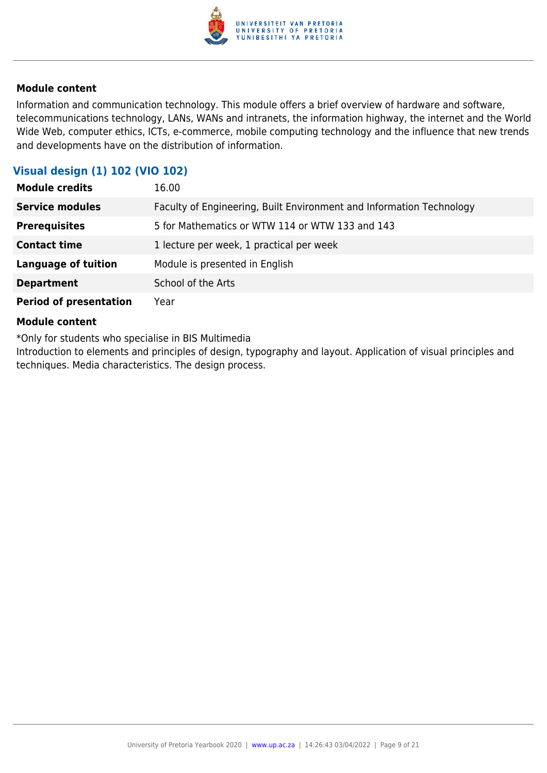

Information and communication technology. This module offers a brief overview of hardware and software, telecommunications technology, LANs, WANs and intranets, the information highway, the internet and the World Wide Web, computer ethics, ICTs, e-commerce, mobile computing technology and the influence that new trends and developments have on the distribution of information.

### **Visual design (1) 102 (VIO 102)**

| <b>Module credits</b>         | 16.00                                                                |
|-------------------------------|----------------------------------------------------------------------|
| <b>Service modules</b>        | Faculty of Engineering, Built Environment and Information Technology |
| <b>Prerequisites</b>          | 5 for Mathematics or WTW 114 or WTW 133 and 143                      |
| <b>Contact time</b>           | 1 lecture per week, 1 practical per week                             |
| <b>Language of tuition</b>    | Module is presented in English                                       |
| <b>Department</b>             | School of the Arts                                                   |
| <b>Period of presentation</b> | Year                                                                 |

#### **Module content**

\*Only for students who specialise in BIS Multimedia

Introduction to elements and principles of design, typography and layout. Application of visual principles and techniques. Media characteristics. The design process.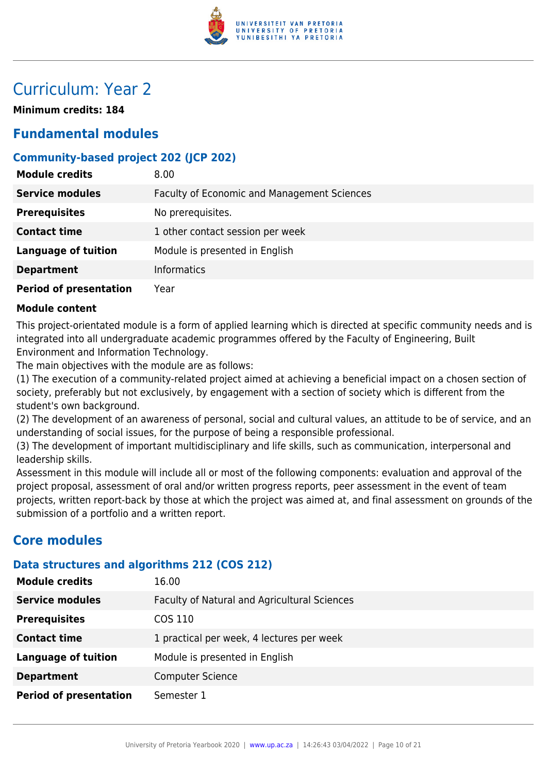

# Curriculum: Year 2

**Minimum credits: 184**

# **Fundamental modules**

### **Community-based project 202 (JCP 202)**

| <b>Module credits</b>         | 8.00                                        |
|-------------------------------|---------------------------------------------|
| <b>Service modules</b>        | Faculty of Economic and Management Sciences |
| <b>Prerequisites</b>          | No prerequisites.                           |
| <b>Contact time</b>           | 1 other contact session per week            |
| <b>Language of tuition</b>    | Module is presented in English              |
| <b>Department</b>             | <b>Informatics</b>                          |
| <b>Period of presentation</b> | Year                                        |

#### **Module content**

This project-orientated module is a form of applied learning which is directed at specific community needs and is integrated into all undergraduate academic programmes offered by the Faculty of Engineering, Built Environment and Information Technology.

The main objectives with the module are as follows:

(1) The execution of a community-related project aimed at achieving a beneficial impact on a chosen section of society, preferably but not exclusively, by engagement with a section of society which is different from the student's own background.

(2) The development of an awareness of personal, social and cultural values, an attitude to be of service, and an understanding of social issues, for the purpose of being a responsible professional.

(3) The development of important multidisciplinary and life skills, such as communication, interpersonal and leadership skills.

Assessment in this module will include all or most of the following components: evaluation and approval of the project proposal, assessment of oral and/or written progress reports, peer assessment in the event of team projects, written report-back by those at which the project was aimed at, and final assessment on grounds of the submission of a portfolio and a written report.

# **Core modules**

#### **Data structures and algorithms 212 (COS 212)**

| <b>Module credits</b>         | 16.00                                        |
|-------------------------------|----------------------------------------------|
| <b>Service modules</b>        | Faculty of Natural and Agricultural Sciences |
| <b>Prerequisites</b>          | COS 110                                      |
| <b>Contact time</b>           | 1 practical per week, 4 lectures per week    |
| <b>Language of tuition</b>    | Module is presented in English               |
| <b>Department</b>             | <b>Computer Science</b>                      |
| <b>Period of presentation</b> | Semester 1                                   |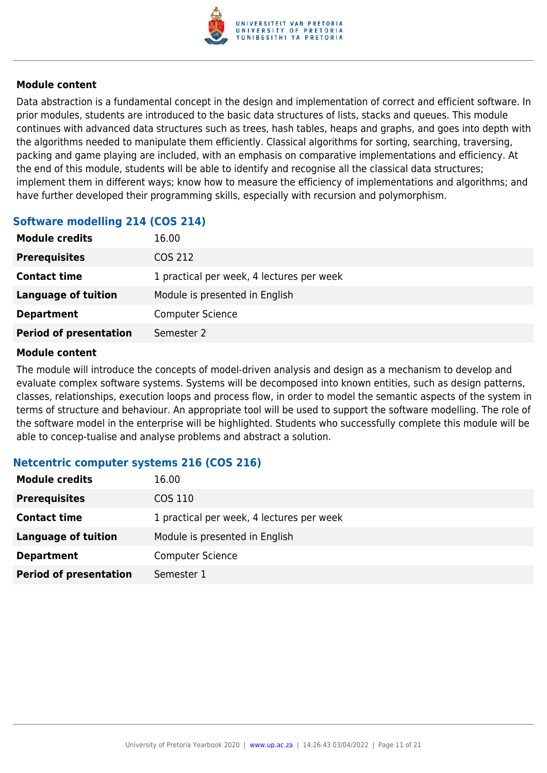

Data abstraction is a fundamental concept in the design and implementation of correct and efficient software. In prior modules, students are introduced to the basic data structures of lists, stacks and queues. This module continues with advanced data structures such as trees, hash tables, heaps and graphs, and goes into depth with the algorithms needed to manipulate them efficiently. Classical algorithms for sorting, searching, traversing, packing and game playing are included, with an emphasis on comparative implementations and efficiency. At the end of this module, students will be able to identify and recognise all the classical data structures; implement them in different ways; know how to measure the efficiency of implementations and algorithms; and have further developed their programming skills, especially with recursion and polymorphism.

#### **Software modelling 214 (COS 214)**

| <b>Module credits</b>         | 16.00                                     |
|-------------------------------|-------------------------------------------|
| <b>Prerequisites</b>          | COS 212                                   |
| <b>Contact time</b>           | 1 practical per week, 4 lectures per week |
| <b>Language of tuition</b>    | Module is presented in English            |
| <b>Department</b>             | <b>Computer Science</b>                   |
| <b>Period of presentation</b> | Semester 2                                |

#### **Module content**

The module will introduce the concepts of model-driven analysis and design as a mechanism to develop and evaluate complex software systems. Systems will be decomposed into known entities, such as design patterns, classes, relationships, execution loops and process flow, in order to model the semantic aspects of the system in terms of structure and behaviour. An appropriate tool will be used to support the software modelling. The role of the software model in the enterprise will be highlighted. Students who successfully complete this module will be able to concep-tualise and analyse problems and abstract a solution.

#### **Netcentric computer systems 216 (COS 216)**

| <b>Module credits</b>         | 16.00                                     |
|-------------------------------|-------------------------------------------|
| <b>Prerequisites</b>          | COS 110                                   |
| <b>Contact time</b>           | 1 practical per week, 4 lectures per week |
| <b>Language of tuition</b>    | Module is presented in English            |
| <b>Department</b>             | <b>Computer Science</b>                   |
| <b>Period of presentation</b> | Semester 1                                |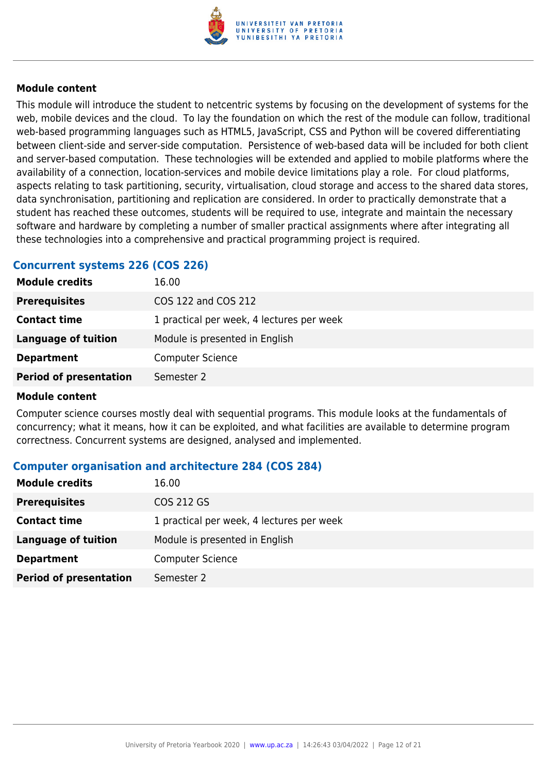

This module will introduce the student to netcentric systems by focusing on the development of systems for the web, mobile devices and the cloud. To lay the foundation on which the rest of the module can follow, traditional web-based programming languages such as HTML5, JavaScript, CSS and Python will be covered differentiating between client-side and server-side computation. Persistence of web-based data will be included for both client and server-based computation. These technologies will be extended and applied to mobile platforms where the availability of a connection, location-services and mobile device limitations play a role. For cloud platforms, aspects relating to task partitioning, security, virtualisation, cloud storage and access to the shared data stores, data synchronisation, partitioning and replication are considered. In order to practically demonstrate that a student has reached these outcomes, students will be required to use, integrate and maintain the necessary software and hardware by completing a number of smaller practical assignments where after integrating all these technologies into a comprehensive and practical programming project is required.

#### **Concurrent systems 226 (COS 226)**

| <b>Module credits</b>         | 16.00                                     |
|-------------------------------|-------------------------------------------|
| <b>Prerequisites</b>          | COS 122 and COS 212                       |
| <b>Contact time</b>           | 1 practical per week, 4 lectures per week |
| Language of tuition           | Module is presented in English            |
| <b>Department</b>             | <b>Computer Science</b>                   |
| <b>Period of presentation</b> | Semester 2                                |
|                               |                                           |

#### **Module content**

Computer science courses mostly deal with sequential programs. This module looks at the fundamentals of concurrency; what it means, how it can be exploited, and what facilities are available to determine program correctness. Concurrent systems are designed, analysed and implemented.

#### **Computer organisation and architecture 284 (COS 284)**

| <b>Module credits</b>         | 16.00                                     |
|-------------------------------|-------------------------------------------|
| <b>Prerequisites</b>          | COS 212 GS                                |
| <b>Contact time</b>           | 1 practical per week, 4 lectures per week |
| <b>Language of tuition</b>    | Module is presented in English            |
| <b>Department</b>             | <b>Computer Science</b>                   |
| <b>Period of presentation</b> | Semester 2                                |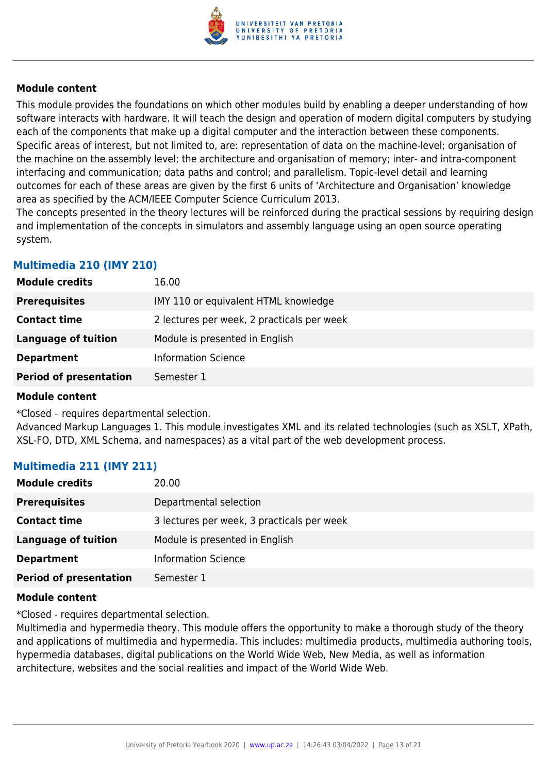

This module provides the foundations on which other modules build by enabling a deeper understanding of how software interacts with hardware. It will teach the design and operation of modern digital computers by studying each of the components that make up a digital computer and the interaction between these components. Specific areas of interest, but not limited to, are: representation of data on the machine-level; organisation of the machine on the assembly level; the architecture and organisation of memory; inter- and intra-component interfacing and communication; data paths and control; and parallelism. Topic-level detail and learning outcomes for each of these areas are given by the first 6 units of 'Architecture and Organisation' knowledge area as specified by the ACM/IEEE Computer Science Curriculum 2013.

The concepts presented in the theory lectures will be reinforced during the practical sessions by requiring design and implementation of the concepts in simulators and assembly language using an open source operating system.

### **Multimedia 210 (IMY 210)**

| <b>Module credits</b>         | 16.00                                      |
|-------------------------------|--------------------------------------------|
| <b>Prerequisites</b>          | IMY 110 or equivalent HTML knowledge       |
| <b>Contact time</b>           | 2 lectures per week, 2 practicals per week |
| Language of tuition           | Module is presented in English             |
| <b>Department</b>             | <b>Information Science</b>                 |
| <b>Period of presentation</b> | Semester 1                                 |

#### **Module content**

\*Closed – requires departmental selection.

Advanced Markup Languages 1. This module investigates XML and its related technologies (such as XSLT, XPath, XSL-FO, DTD, XML Schema, and namespaces) as a vital part of the web development process.

#### **Multimedia 211 (IMY 211)**

| <b>Module credits</b>         | 20.00                                      |
|-------------------------------|--------------------------------------------|
| <b>Prerequisites</b>          | Departmental selection                     |
| <b>Contact time</b>           | 3 lectures per week, 3 practicals per week |
| <b>Language of tuition</b>    | Module is presented in English             |
| <b>Department</b>             | <b>Information Science</b>                 |
| <b>Period of presentation</b> | Semester 1                                 |

#### **Module content**

\*Closed - requires departmental selection.

Multimedia and hypermedia theory. This module offers the opportunity to make a thorough study of the theory and applications of multimedia and hypermedia. This includes: multimedia products, multimedia authoring tools, hypermedia databases, digital publications on the World Wide Web, New Media, as well as information architecture, websites and the social realities and impact of the World Wide Web.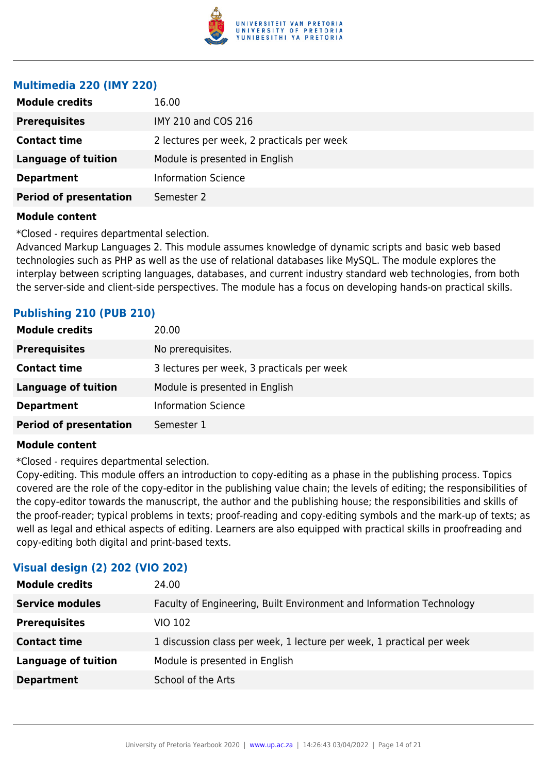

#### **Multimedia 220 (IMY 220)**

| <b>Module credits</b>         | 16.00                                      |
|-------------------------------|--------------------------------------------|
| <b>Prerequisites</b>          | IMY 210 and COS 216                        |
| <b>Contact time</b>           | 2 lectures per week, 2 practicals per week |
| <b>Language of tuition</b>    | Module is presented in English             |
| <b>Department</b>             | <b>Information Science</b>                 |
| <b>Period of presentation</b> | Semester 2                                 |
|                               |                                            |

#### **Module content**

\*Closed - requires departmental selection.

Advanced Markup Languages 2. This module assumes knowledge of dynamic scripts and basic web based technologies such as PHP as well as the use of relational databases like MySQL. The module explores the interplay between scripting languages, databases, and current industry standard web technologies, from both the server-side and client-side perspectives. The module has a focus on developing hands-on practical skills.

#### **Publishing 210 (PUB 210)**

| <b>Module credits</b>         | 20.00                                      |
|-------------------------------|--------------------------------------------|
| <b>Prerequisites</b>          | No prerequisites.                          |
| <b>Contact time</b>           | 3 lectures per week, 3 practicals per week |
| Language of tuition           | Module is presented in English             |
| <b>Department</b>             | <b>Information Science</b>                 |
| <b>Period of presentation</b> | Semester 1                                 |

#### **Module content**

\*Closed - requires departmental selection.

Copy-editing. This module offers an introduction to copy-editing as a phase in the publishing process. Topics covered are the role of the copy-editor in the publishing value chain; the levels of editing; the responsibilities of the copy-editor towards the manuscript, the author and the publishing house; the responsibilities and skills of the proof-reader; typical problems in texts; proof-reading and copy-editing symbols and the mark-up of texts; as well as legal and ethical aspects of editing. Learners are also equipped with practical skills in proofreading and copy-editing both digital and print-based texts.

| THREE ACTION IS TO LATE THAT THE THE |                                                                       |
|--------------------------------------|-----------------------------------------------------------------------|
| <b>Module credits</b>                | 24.00                                                                 |
| <b>Service modules</b>               | Faculty of Engineering, Built Environment and Information Technology  |
| <b>Prerequisites</b>                 | VIO 102                                                               |
| <b>Contact time</b>                  | 1 discussion class per week, 1 lecture per week, 1 practical per week |
| <b>Language of tuition</b>           | Module is presented in English                                        |
| <b>Department</b>                    | School of the Arts                                                    |

# **Visual design (2) 202 (VIO 202)**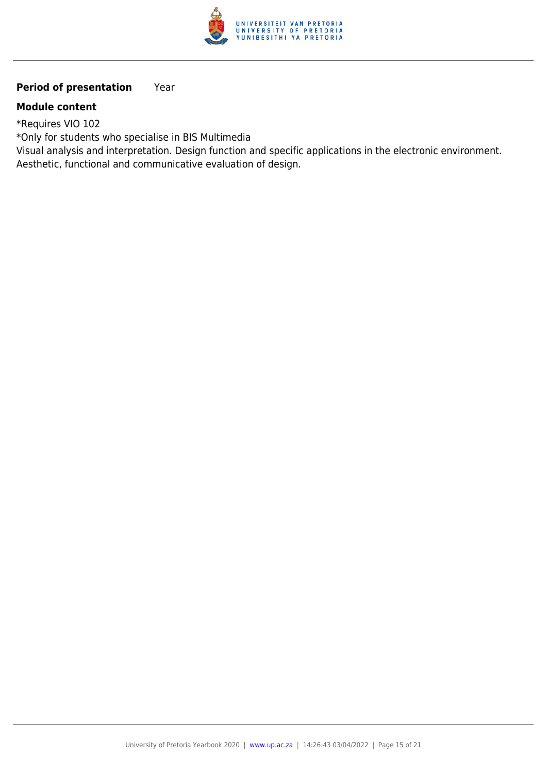

## **Period of presentation** Year

#### **Module content**

\*Requires VIO 102

\*Only for students who specialise in BIS Multimedia

Visual analysis and interpretation. Design function and specific applications in the electronic environment. Aesthetic, functional and communicative evaluation of design.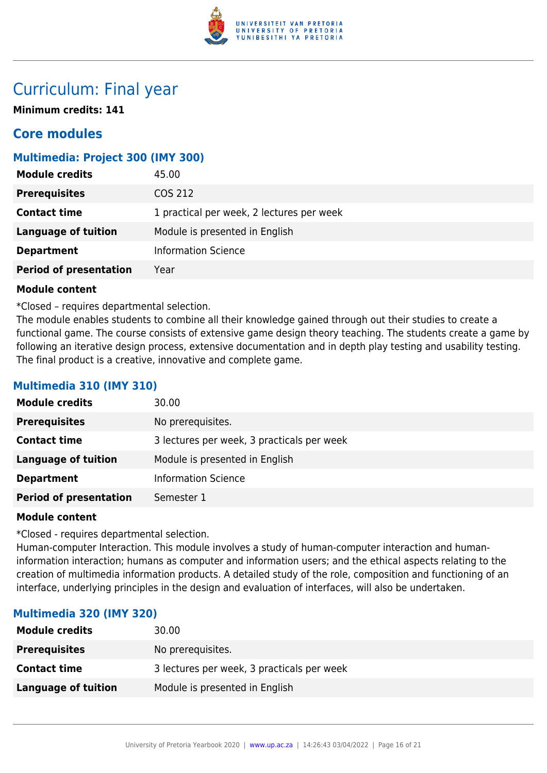

# Curriculum: Final year

**Minimum credits: 141**

# **Core modules**

### **Multimedia: Project 300 (IMY 300)**

| <b>Module credits</b>         | 45.00                                     |
|-------------------------------|-------------------------------------------|
| <b>Prerequisites</b>          | COS 212                                   |
| <b>Contact time</b>           | 1 practical per week, 2 lectures per week |
| <b>Language of tuition</b>    | Module is presented in English            |
| <b>Department</b>             | <b>Information Science</b>                |
| <b>Period of presentation</b> | Year                                      |

#### **Module content**

\*Closed – requires departmental selection.

The module enables students to combine all their knowledge gained through out their studies to create a functional game. The course consists of extensive game design theory teaching. The students create a game by following an iterative design process, extensive documentation and in depth play testing and usability testing. The final product is a creative, innovative and complete game.

#### **Multimedia 310 (IMY 310)**

| <b>Module credits</b>         | 30.00                                      |
|-------------------------------|--------------------------------------------|
| <b>Prerequisites</b>          | No prerequisites.                          |
| <b>Contact time</b>           | 3 lectures per week, 3 practicals per week |
| <b>Language of tuition</b>    | Module is presented in English             |
| <b>Department</b>             | <b>Information Science</b>                 |
| <b>Period of presentation</b> | Semester 1                                 |

#### **Module content**

\*Closed - requires departmental selection.

Human-computer Interaction. This module involves a study of human-computer interaction and humaninformation interaction; humans as computer and information users; and the ethical aspects relating to the creation of multimedia information products. A detailed study of the role, composition and functioning of an interface, underlying principles in the design and evaluation of interfaces, will also be undertaken.

#### **Multimedia 320 (IMY 320)**

| <b>Module credits</b> | 30.00                                      |
|-----------------------|--------------------------------------------|
| <b>Prerequisites</b>  | No prerequisites.                          |
| <b>Contact time</b>   | 3 lectures per week, 3 practicals per week |
| Language of tuition   | Module is presented in English             |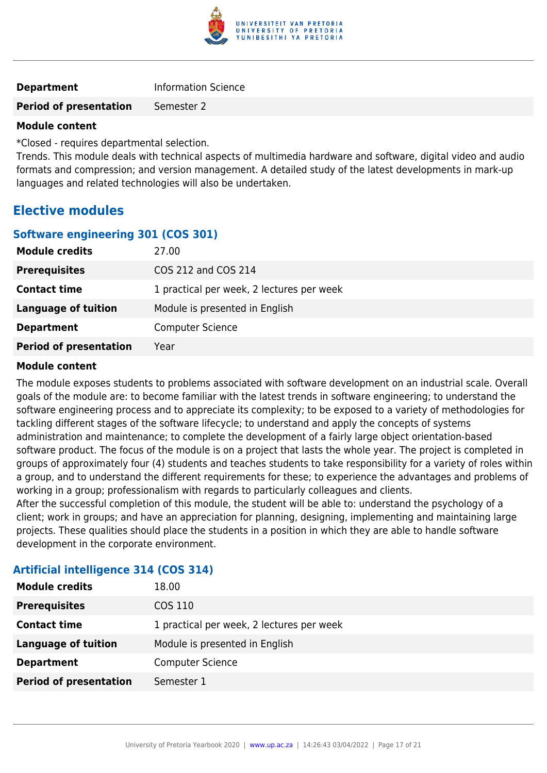

| <b>Department</b> | <b>Information Science</b> |
|-------------------|----------------------------|
|                   |                            |

# **Period of presentation** Semester 2

#### **Module content**

\*Closed - requires departmental selection.

Trends. This module deals with technical aspects of multimedia hardware and software, digital video and audio formats and compression; and version management. A detailed study of the latest developments in mark-up languages and related technologies will also be undertaken.

# **Elective modules**

#### **Software engineering 301 (COS 301)**

| <b>Module credits</b>         | 27.00                                     |
|-------------------------------|-------------------------------------------|
| <b>Prerequisites</b>          | COS 212 and COS 214                       |
| <b>Contact time</b>           | 1 practical per week, 2 lectures per week |
| <b>Language of tuition</b>    | Module is presented in English            |
| <b>Department</b>             | <b>Computer Science</b>                   |
| <b>Period of presentation</b> | Year                                      |

#### **Module content**

The module exposes students to problems associated with software development on an industrial scale. Overall goals of the module are: to become familiar with the latest trends in software engineering; to understand the software engineering process and to appreciate its complexity; to be exposed to a variety of methodologies for tackling different stages of the software lifecycle; to understand and apply the concepts of systems administration and maintenance; to complete the development of a fairly large object orientation-based software product. The focus of the module is on a project that lasts the whole year. The project is completed in groups of approximately four (4) students and teaches students to take responsibility for a variety of roles within a group, and to understand the different requirements for these; to experience the advantages and problems of working in a group; professionalism with regards to particularly colleagues and clients.

After the successful completion of this module, the student will be able to: understand the psychology of a client; work in groups; and have an appreciation for planning, designing, implementing and maintaining large projects. These qualities should place the students in a position in which they are able to handle software development in the corporate environment.

| <b>Module credits</b>         | 18.00                                     |
|-------------------------------|-------------------------------------------|
| <b>Prerequisites</b>          | COS 110                                   |
| <b>Contact time</b>           | 1 practical per week, 2 lectures per week |
| <b>Language of tuition</b>    | Module is presented in English            |
| <b>Department</b>             | <b>Computer Science</b>                   |
| <b>Period of presentation</b> | Semester 1                                |

#### **Artificial intelligence 314 (COS 314)**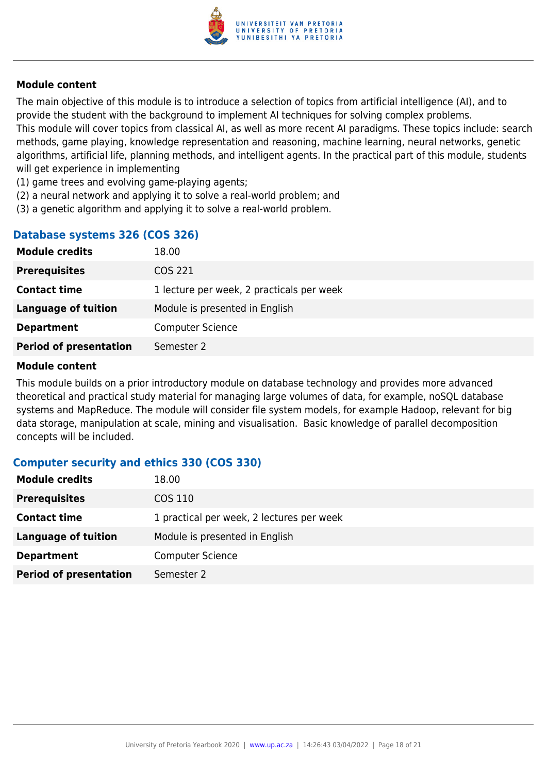

The main objective of this module is to introduce a selection of topics from artificial intelligence (AI), and to provide the student with the background to implement AI techniques for solving complex problems. This module will cover topics from classical AI, as well as more recent AI paradigms. These topics include: search methods, game playing, knowledge representation and reasoning, machine learning, neural networks, genetic algorithms, artificial life, planning methods, and intelligent agents. In the practical part of this module, students will get experience in implementing

- (1) game trees and evolving game-playing agents;
- (2) a neural network and applying it to solve a real-world problem; and
- (3) a genetic algorithm and applying it to solve a real-world problem.

#### **Database systems 326 (COS 326)**

| <b>Module credits</b>         | 18.00                                     |
|-------------------------------|-------------------------------------------|
| <b>Prerequisites</b>          | COS 221                                   |
| <b>Contact time</b>           | 1 lecture per week, 2 practicals per week |
| Language of tuition           | Module is presented in English            |
| <b>Department</b>             | <b>Computer Science</b>                   |
| <b>Period of presentation</b> | Semester 2                                |

#### **Module content**

This module builds on a prior introductory module on database technology and provides more advanced theoretical and practical study material for managing large volumes of data, for example, noSQL database systems and MapReduce. The module will consider file system models, for example Hadoop, relevant for big data storage, manipulation at scale, mining and visualisation. Basic knowledge of parallel decomposition concepts will be included.

#### **Computer security and ethics 330 (COS 330)**

| <b>Module credits</b>         | 18.00                                     |
|-------------------------------|-------------------------------------------|
| <b>Prerequisites</b>          | COS 110                                   |
| <b>Contact time</b>           | 1 practical per week, 2 lectures per week |
| Language of tuition           | Module is presented in English            |
| <b>Department</b>             | <b>Computer Science</b>                   |
| <b>Period of presentation</b> | Semester 2                                |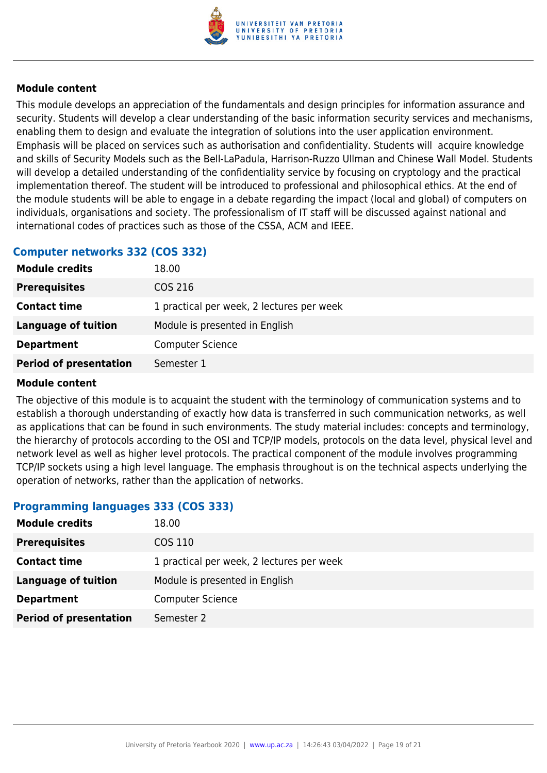

This module develops an appreciation of the fundamentals and design principles for information assurance and security. Students will develop a clear understanding of the basic information security services and mechanisms, enabling them to design and evaluate the integration of solutions into the user application environment. Emphasis will be placed on services such as authorisation and confidentiality. Students will acquire knowledge and skills of Security Models such as the Bell-LaPadula, Harrison-Ruzzo Ullman and Chinese Wall Model. Students will develop a detailed understanding of the confidentiality service by focusing on cryptology and the practical implementation thereof. The student will be introduced to professional and philosophical ethics. At the end of the module students will be able to engage in a debate regarding the impact (local and global) of computers on individuals, organisations and society. The professionalism of IT staff will be discussed against national and international codes of practices such as those of the CSSA, ACM and IEEE.

### **Computer networks 332 (COS 332)**

| <b>Module credits</b>         | 18.00                                     |
|-------------------------------|-------------------------------------------|
| <b>Prerequisites</b>          | COS 216                                   |
| <b>Contact time</b>           | 1 practical per week, 2 lectures per week |
| <b>Language of tuition</b>    | Module is presented in English            |
| <b>Department</b>             | <b>Computer Science</b>                   |
| <b>Period of presentation</b> | Semester 1                                |

#### **Module content**

The objective of this module is to acquaint the student with the terminology of communication systems and to establish a thorough understanding of exactly how data is transferred in such communication networks, as well as applications that can be found in such environments. The study material includes: concepts and terminology, the hierarchy of protocols according to the OSI and TCP/IP models, protocols on the data level, physical level and network level as well as higher level protocols. The practical component of the module involves programming TCP/IP sockets using a high level language. The emphasis throughout is on the technical aspects underlying the operation of networks, rather than the application of networks.

#### **Programming languages 333 (COS 333)**

| <b>Module credits</b>         | 18.00                                     |
|-------------------------------|-------------------------------------------|
| <b>Prerequisites</b>          | COS 110                                   |
| <b>Contact time</b>           | 1 practical per week, 2 lectures per week |
| Language of tuition           | Module is presented in English            |
| <b>Department</b>             | <b>Computer Science</b>                   |
| <b>Period of presentation</b> | Semester 2                                |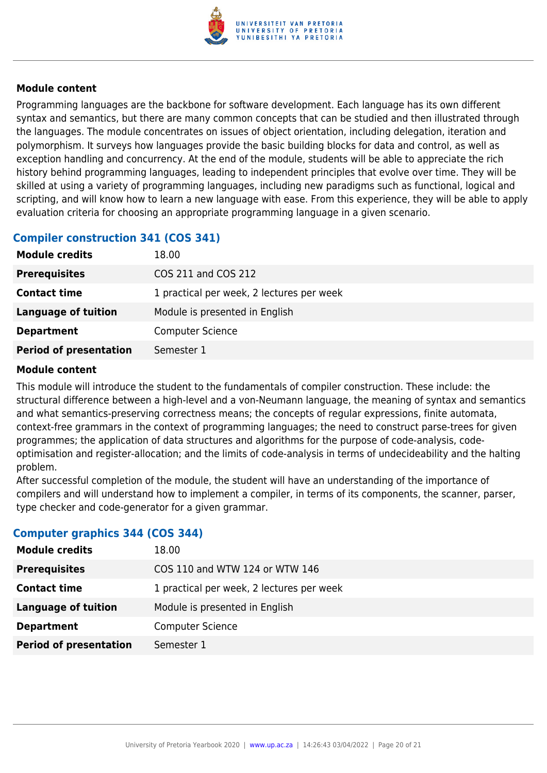

Programming languages are the backbone for software development. Each language has its own different syntax and semantics, but there are many common concepts that can be studied and then illustrated through the languages. The module concentrates on issues of object orientation, including delegation, iteration and polymorphism. It surveys how languages provide the basic building blocks for data and control, as well as exception handling and concurrency. At the end of the module, students will be able to appreciate the rich history behind programming languages, leading to independent principles that evolve over time. They will be skilled at using a variety of programming languages, including new paradigms such as functional, logical and scripting, and will know how to learn a new language with ease. From this experience, they will be able to apply evaluation criteria for choosing an appropriate programming language in a given scenario.

## **Compiler construction 341 (COS 341)**

| <b>Module credits</b>         | 18.00                                     |
|-------------------------------|-------------------------------------------|
| <b>Prerequisites</b>          | COS 211 and COS 212                       |
| <b>Contact time</b>           | 1 practical per week, 2 lectures per week |
| <b>Language of tuition</b>    | Module is presented in English            |
| <b>Department</b>             | <b>Computer Science</b>                   |
| <b>Period of presentation</b> | Semester 1                                |

#### **Module content**

This module will introduce the student to the fundamentals of compiler construction. These include: the structural difference between a high-level and a von-Neumann language, the meaning of syntax and semantics and what semantics-preserving correctness means; the concepts of regular expressions, finite automata, context-free grammars in the context of programming languages; the need to construct parse-trees for given programmes; the application of data structures and algorithms for the purpose of code-analysis, codeoptimisation and register-allocation; and the limits of code-analysis in terms of undecideability and the halting problem.

After successful completion of the module, the student will have an understanding of the importance of compilers and will understand how to implement a compiler, in terms of its components, the scanner, parser, type checker and code-generator for a given grammar.

#### **Computer graphics 344 (COS 344)**

| <b>Module credits</b>         | 18.00                                     |
|-------------------------------|-------------------------------------------|
| <b>Prerequisites</b>          | COS 110 and WTW 124 or WTW 146            |
| <b>Contact time</b>           | 1 practical per week, 2 lectures per week |
| <b>Language of tuition</b>    | Module is presented in English            |
| <b>Department</b>             | <b>Computer Science</b>                   |
| <b>Period of presentation</b> | Semester 1                                |